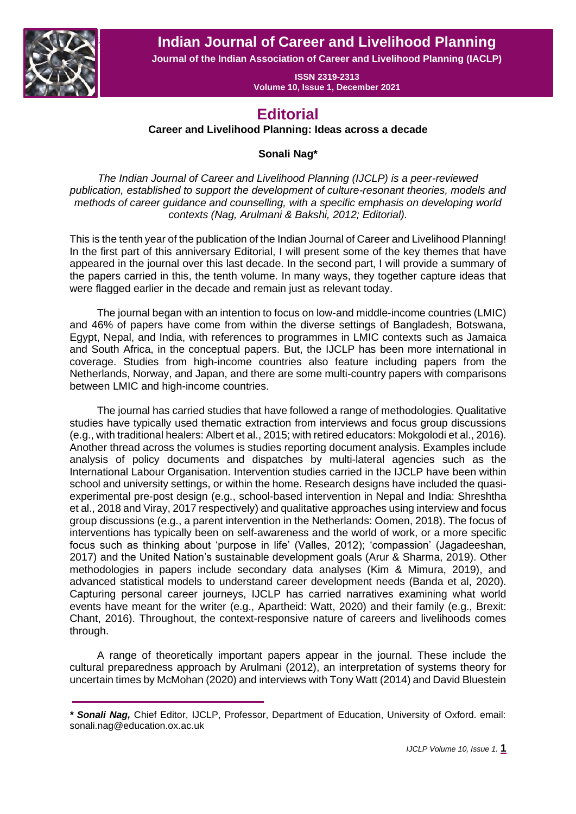**Editorial** *Sonali Nag* **Indian Journal of Career and Livelihood Planning**



**Journal of the Indian Association of Career and Livelihood Planning (IACLP)**

**ISSN 2319-2313 Volume 10, Issue 1, December 2021**

## **Editorial**

**Career and Livelihood Planning: Ideas across a decade**

## **Sonali Nag\***

*The Indian Journal of Career and Livelihood Planning (IJCLP) is a peer-reviewed publication, established to support the development of culture-resonant theories, models and methods of career guidance and counselling, with a specific emphasis on developing world contexts (Nag, Arulmani & Bakshi, 2012; Editorial).* 

This is the tenth year of the publication of the Indian Journal of Career and Livelihood Planning! In the first part of this anniversary Editorial, I will present some of the key themes that have appeared in the journal over this last decade. In the second part, I will provide a summary of the papers carried in this, the tenth volume. In many ways, they together capture ideas that were flagged earlier in the decade and remain just as relevant today.

The journal began with an intention to focus on low-and middle-income countries (LMIC) and 46% of papers have come from within the diverse settings of Bangladesh, Botswana, Egypt, Nepal, and India, with references to programmes in LMIC contexts such as Jamaica and South Africa, in the conceptual papers. But, the IJCLP has been more international in coverage. Studies from high-income countries also feature including papers from the Netherlands, Norway, and Japan, and there are some multi-country papers with comparisons between LMIC and high-income countries.

The journal has carried studies that have followed a range of methodologies. Qualitative studies have typically used thematic extraction from interviews and focus group discussions (e.g., with traditional healers: Albert et al., 2015; with retired educators: Mokgolodi et al., 2016). Another thread across the volumes is studies reporting document analysis. Examples include analysis of policy documents and dispatches by multi-lateral agencies such as the International Labour Organisation. Intervention studies carried in the IJCLP have been within school and university settings, or within the home. Research designs have included the quasiexperimental pre-post design (e.g., school-based intervention in Nepal and India: Shreshtha et al., 2018 and Viray, 2017 respectively) and qualitative approaches using interview and focus group discussions (e.g., a parent intervention in the Netherlands: Oomen, 2018). The focus of interventions has typically been on self-awareness and the world of work, or a more specific focus such as thinking about 'purpose in life' (Valles, 2012); 'compassion' (Jagadeeshan, 2017) and the United Nation's sustainable development goals (Arur & Sharma, 2019). Other methodologies in papers include secondary data analyses (Kim & Mimura, 2019), and advanced statistical models to understand career development needs (Banda et al, 2020). Capturing personal career journeys, IJCLP has carried narratives examining what world events have meant for the writer (e.g., Apartheid: Watt, 2020) and their family (e.g., Brexit: Chant, 2016). Throughout, the context-responsive nature of careers and livelihoods comes through.

A range of theoretically important papers appear in the journal. These include the cultural preparedness approach by Arulmani (2012), an interpretation of systems theory for uncertain times by McMohan (2020) and interviews with Tony Watt (2014) and David Bluestein

*<sup>\*</sup> Sonali Nag,* Chief Editor, IJCLP, Professor, Department of Education, University of Oxford. email: sonali.nag@education.ox.ac.uk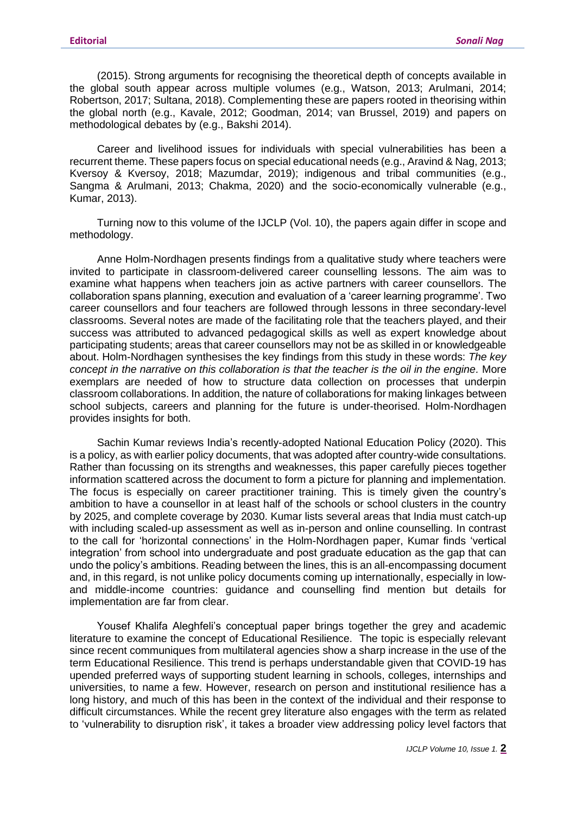(2015). Strong arguments for recognising the theoretical depth of concepts available in the global south appear across multiple volumes (e.g., Watson, 2013; Arulmani, 2014; Robertson, 2017; Sultana, 2018). Complementing these are papers rooted in theorising within the global north (e.g., Kavale, 2012; Goodman, 2014; van Brussel, 2019) and papers on methodological debates by (e.g., Bakshi 2014).

Career and livelihood issues for individuals with special vulnerabilities has been a recurrent theme. These papers focus on special educational needs (e.g., Aravind & Nag, 2013; Kversoy & Kversoy, 2018; Mazumdar, 2019); indigenous and tribal communities (e.g., Sangma & Arulmani, 2013; Chakma, 2020) and the socio-economically vulnerable (e.g., Kumar, 2013).

Turning now to this volume of the IJCLP (Vol. 10), the papers again differ in scope and methodology.

Anne Holm-Nordhagen presents findings from a qualitative study where teachers were invited to participate in classroom-delivered career counselling lessons. The aim was to examine what happens when teachers join as active partners with career counsellors. The collaboration spans planning, execution and evaluation of a 'career learning programme'. Two career counsellors and four teachers are followed through lessons in three secondary-level classrooms. Several notes are made of the facilitating role that the teachers played, and their success was attributed to advanced pedagogical skills as well as expert knowledge about participating students; areas that career counsellors may not be as skilled in or knowledgeable about. Holm-Nordhagen synthesises the key findings from this study in these words: *The key concept in the narrative on this collaboration is that the teacher is the oil in the engine.* More exemplars are needed of how to structure data collection on processes that underpin classroom collaborations. In addition, the nature of collaborations for making linkages between school subjects, careers and planning for the future is under-theorised. Holm-Nordhagen provides insights for both.

Sachin Kumar reviews India's recently-adopted National Education Policy (2020). This is a policy, as with earlier policy documents, that was adopted after country-wide consultations. Rather than focussing on its strengths and weaknesses, this paper carefully pieces together information scattered across the document to form a picture for planning and implementation. The focus is especially on career practitioner training. This is timely given the country's ambition to have a counsellor in at least half of the schools or school clusters in the country by 2025, and complete coverage by 2030. Kumar lists several areas that India must catch-up with including scaled-up assessment as well as in-person and online counselling. In contrast to the call for 'horizontal connections' in the Holm-Nordhagen paper, Kumar finds 'vertical integration' from school into undergraduate and post graduate education as the gap that can undo the policy's ambitions. Reading between the lines, this is an all-encompassing document and, in this regard, is not unlike policy documents coming up internationally, especially in lowand middle-income countries: guidance and counselling find mention but details for implementation are far from clear.

Yousef Khalifa Aleghfeli's conceptual paper brings together the grey and academic literature to examine the concept of Educational Resilience. The topic is especially relevant since recent communiques from multilateral agencies show a sharp increase in the use of the term Educational Resilience. This trend is perhaps understandable given that COVID-19 has upended preferred ways of supporting student learning in schools, colleges, internships and universities, to name a few. However, research on person and institutional resilience has a long history, and much of this has been in the context of the individual and their response to difficult circumstances. While the recent grey literature also engages with the term as related to 'vulnerability to disruption risk', it takes a broader view addressing policy level factors that